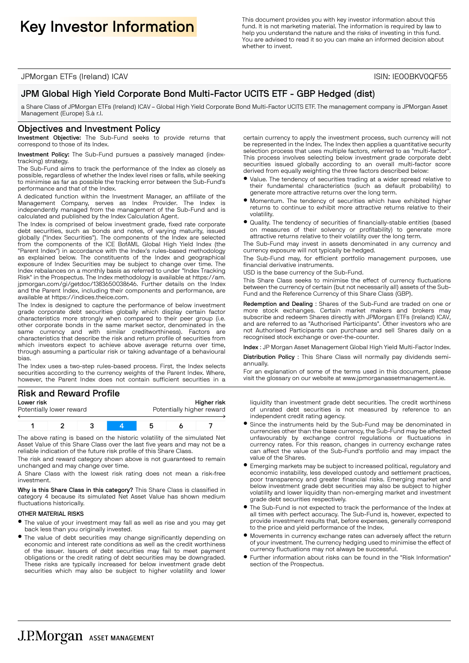This document provides you with key investor information about this **Key Investor Information** about this function **in the secure of the secure of the secure of the secure of the secure of the function** is required by law fund. It is not marketing material. The information is required by law to help you understand the nature and the risks of investing in this fund. You are advised to read it so you can make an informed decision about whether to invest.

JPMorgan ETFs (Ireland) ICAV ISIN: IE00BKV0QF55

## JPM Global High Yield Corporate Bond Multi-Factor UCITS ETF - GBP Hedged (dist)

a Share Class of JPMorgan ETFs (Ireland) ICAV – Global High Yield Corporate Bond Multi-Factor UCITS ETF. The management company is JPMorgan Asset Management (Europe) S.à r.l.

#### Objectives and Investment Policy

Investment Objective: The Sub-Fund seeks to provide returns that correspond to those of its Index.

#### Investment Policy: The Sub-Fund pursues a passively managed (indextracking) strategy.

The Sub-Fund aims to track the performance of the Index as closely as possible, regardless of whether the Index level rises or falls, while seeking to minimise as far as possible the tracking error between the Sub-Fund's performance and that of the Index.

A dedicated function within the Investment Manager, an affiliate of the Management Company, serves as Index Provider. The Index independently managed from the management of the Sub-Fund and is calculated and published by the Index Calculation Agent.

The Index is comprised of below investment grade, fixed rate corporate debt securities, such as bonds and notes, of varying maturity, issued globally ("Index Securities"). The components of the Index are selected from the components of the ICE BofAML Global High Yield Index (the "Parent Index") in accordance with the Index's rules-based methodology as explained below. The constituents of the Index and geographical exposure of Index Securities may be subject to change over time. The Index rebalances on a monthly basis as referred to under "Index Tracking Risk" in the Prospectus. The Index methodology is available at https://am. jpmorgan.com/gi/getdoc/1383650038646. Further details on the Index and the Parent Index, including their components and performance, are available at https://indices.theice.com.

The Index is designed to capture the performance of below investment grade corporate debt securities globally which display certain factor characteristics more strongly when compared to their peer group (i.e. other corporate bonds in the same market sector, denominated in the same currency and with similar creditworthiness). Factors are characteristics that describe the risk and return profile of securities from which investors expect to achieve above average returns over time, through assuming a particular risk or taking advantage of a behavioural bias.

The Index uses a two-step rules-based process. First, the Index selects securities according to the currency weights of the Parent Index. Where, however, the Parent Index does not contain sufficient securities in a

# Risk and Reward Profile

| Lower risk |                          |  |  | Higher risk |  |                           |
|------------|--------------------------|--|--|-------------|--|---------------------------|
|            | Potentially lower reward |  |  |             |  | Potentially higher reward |
|            |                          |  |  |             |  |                           |
|            |                          |  |  |             |  |                           |

The above rating is based on the historic volatility of the simulated Net Asset Value of this Share Class over the last five years and may not be a reliable indication of the future risk profile of this Share Class.

The risk and reward category shown above is not guaranteed to remain unchanged and may change over time.

A Share Class with the lowest risk rating does not mean a risk-free investment.

Why is this Share Class in this category? This Share Class is classified in category 4 because its simulated Net Asset Value has shown medium fluctuations historically.

#### OTHER MATERIAL RISKS

- B The value of your investment may fall as well as rise and you may get back less than you originally invested.
- The value of debt securities may change significantly depending on economic and interest rate conditions as well as the credit worthiness of the issuer. Issuers of debt securities may fail to meet payment obligations or the credit rating of debt securities may be downgraded. These risks are typically increased for below investment grade debt securities which may also be subject to higher volatility and lower

certain currency to apply the investment process, such currency will not be represented in the Index. The Index then applies a quantitative security selection process that uses multiple factors, referred to as "multi-factor" This process involves selecting below investment grade corporate debt securities issued globally according to an overall multi-factor score derived from equally weighting the three factors described below:

- $\bullet$  Value. The tendency of securities trading at a wider spread relative to their fundamental characteristics (such as default probability) to generate more attractive returns over the long term.
- $\bullet$  Momentum. The tendency of securities which have exhibited higher returns to continue to exhibit more attractive returns relative to their volatility.
- $\bullet$  Quality. The tendency of securities of financially-stable entities (based on measures of their solvency or profitability) to generate more attractive returns relative to their volatility over the long term.

The Sub-Fund may invest in assets denominated in any currency and currency exposure will not typically be hedged.

The Sub-Fund may, for efficient portfolio management purposes, use financial derivative instruments.

USD is the base currency of the Sub-Fund.

This Share Class seeks to minimise the effect of currency fluctuations between the currency of certain (but not necessarily all) assets of the Sub-Fund and the Reference Currency of this Share Class (GBP).

Redemption and Dealing : Shares of the Sub-Fund are traded on one or more stock exchanges. Certain market makers and brokers may subscribe and redeem Shares directly with JPMorgan ETFs (Ireland) ICAV, and are referred to as "Authorised Participants". Other investors who are not Authorised Participants can purchase and sell Shares daily on a recognised stock exchange or over-the-counter.

Index : JP Morgan Asset Management Global High Yield Multi-Factor Index.

Distribution Policy : This Share Class will normally pay dividends semiannually.

For an explanation of some of the terms used in this document, please visit the glossary on our website at www.jpmorganassetmanagement.ie.

liquidity than investment grade debt securities. The credit worthiness of unrated debt securities is not measured by reference to an independent credit rating agency.

- **Since the instruments held by the Sub-Fund may be denominated in** currencies other than the base currency, the Sub-Fund may be affected unfavourably by exchange control regulations or fluctuations in currency rates. For this reason, changes in currency exchange rates can affect the value of the Sub-Fund's portfolio and may impact the value of the Shares.
- **•** Emerging markets may be subject to increased political, regulatory and economic instability, less developed custody and settlement practices, poor transparency and greater financial risks. Emerging market and below investment grade debt securities may also be subject to higher volatility and lower liquidity than non-emerging market and investment grade debt securities respectively.
- $\bullet$  The Sub-Fund is not expected to track the performance of the Index at all times with perfect accuracy. The Sub-Fund is, however, expected to provide investment results that, before expenses, generally correspond to the price and yield performance of the Index.
- $\bullet$  Movements in currency exchange rates can adversely affect the return of your investment. The currency hedging used to minimise the effect of currency fluctuations may not always be successful.
- Further information about risks can be found in the "Risk Information" section of the Prospectus.